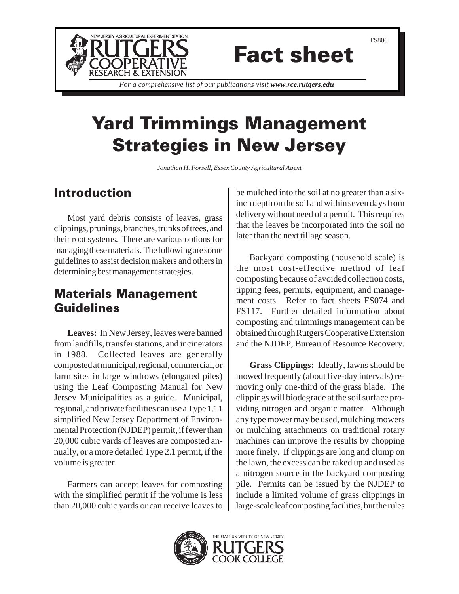

# Fact sheet

*For a comprehensive list of our publications visit www.rce.rutgers.edu*

## Yard Trimmings Management Strategies in New Jersey

*Jonathan H. Forsell, Essex County Agricultural Agent*

#### Introduction

Most yard debris consists of leaves, grass clippings, prunings, branches, trunks of trees, and their root systems. There are various options for managing these materials. The following are some guidelines to assist decision makers and others in determining best management strategies.

### Materials Management Guidelines

**Leaves:** In New Jersey, leaves were banned from landfills, transfer stations, and incinerators in 1988. Collected leaves are generally composted at municipal, regional, commercial, or farm sites in large windrows (elongated piles) using the Leaf Composting Manual for New Jersey Municipalities as a guide. Municipal, regional, and private facilities can use a Type 1.11 simplified New Jersey Department of Environmental Protection (NJDEP) permit, if fewer than 20,000 cubic yards of leaves are composted annually, or a more detailed Type 2.1 permit, if the volume is greater.

Farmers can accept leaves for composting with the simplified permit if the volume is less than 20,000 cubic yards or can receive leaves to be mulched into the soil at no greater than a sixinch depth on the soil and within seven days from delivery without need of a permit. This requires that the leaves be incorporated into the soil no later than the next tillage season.

Backyard composting (household scale) is the most cost-effective method of leaf composting because of avoided collection costs, tipping fees, permits, equipment, and management costs. Refer to fact sheets FS074 and FS117. Further detailed information about composting and trimmings management can be obtained through Rutgers Cooperative Extension and the NJDEP, Bureau of Resource Recovery.

**Grass Clippings:** Ideally, lawns should be mowed frequently (about five-day intervals) removing only one-third of the grass blade. The clippings will biodegrade at the soil surface providing nitrogen and organic matter. Although any type mower may be used, mulching mowers or mulching attachments on traditional rotary machines can improve the results by chopping more finely. If clippings are long and clump on the lawn, the excess can be raked up and used as a nitrogen source in the backyard composting pile. Permits can be issued by the NJDEP to include a limited volume of grass clippings in large-scale leaf composting facilities, but the rules